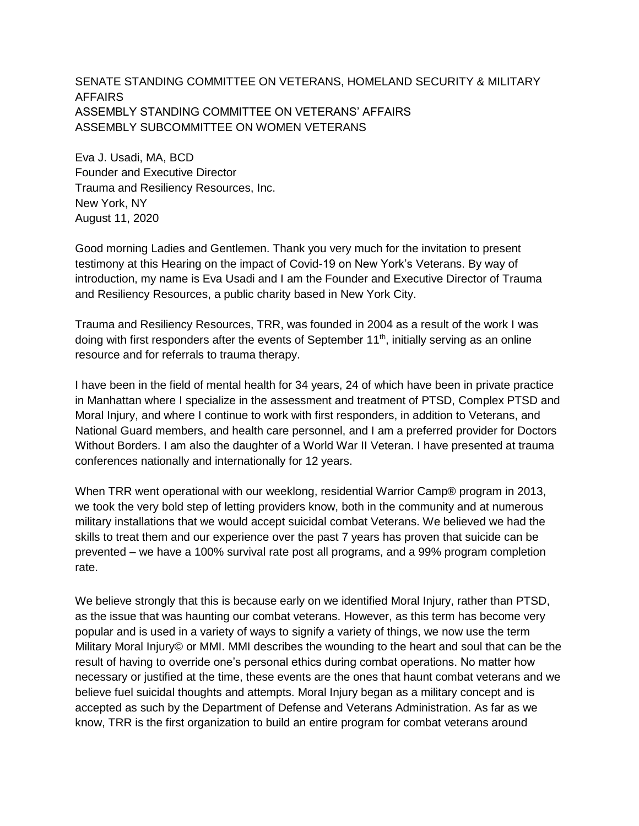SENATE STANDING COMMITTEE ON VETERANS, HOMELAND SECURITY & MILITARY AFFAIRS ASSEMBLY STANDING COMMITTEE ON VETERANS' AFFAIRS ASSEMBLY SUBCOMMITTEE ON WOMEN VETERANS

Eva J. Usadi, MA, BCD Founder and Executive Director Trauma and Resiliency Resources, Inc. New York, NY August 11, 2020

Good morning Ladies and Gentlemen. Thank you very much for the invitation to present testimony at this Hearing on the impact of Covid-19 on New York's Veterans. By way of introduction, my name is Eva Usadi and I am the Founder and Executive Director of Trauma and Resiliency Resources, a public charity based in New York City.

Trauma and Resiliency Resources, TRR, was founded in 2004 as a result of the work I was doing with first responders after the events of September 11<sup>th</sup>, initially serving as an online resource and for referrals to trauma therapy.

I have been in the field of mental health for 34 years, 24 of which have been in private practice in Manhattan where I specialize in the assessment and treatment of PTSD, Complex PTSD and Moral Injury, and where I continue to work with first responders, in addition to Veterans, and National Guard members, and health care personnel, and I am a preferred provider for Doctors Without Borders. I am also the daughter of a World War II Veteran. I have presented at trauma conferences nationally and internationally for 12 years.

When TRR went operational with our weeklong, residential Warrior Camp® program in 2013, we took the very bold step of letting providers know, both in the community and at numerous military installations that we would accept suicidal combat Veterans. We believed we had the skills to treat them and our experience over the past 7 years has proven that suicide can be prevented – we have a 100% survival rate post all programs, and a 99% program completion rate.

We believe strongly that this is because early on we identified Moral Injury, rather than PTSD, as the issue that was haunting our combat veterans. However, as this term has become very popular and is used in a variety of ways to signify a variety of things, we now use the term Military Moral Injury© or MMI. MMI describes the wounding to the heart and soul that can be the result of having to override one's personal ethics during combat operations. No matter how necessary or justified at the time, these events are the ones that haunt combat veterans and we believe fuel suicidal thoughts and attempts. Moral Injury began as a military concept and is accepted as such by the Department of Defense and Veterans Administration. As far as we know, TRR is the first organization to build an entire program for combat veterans around